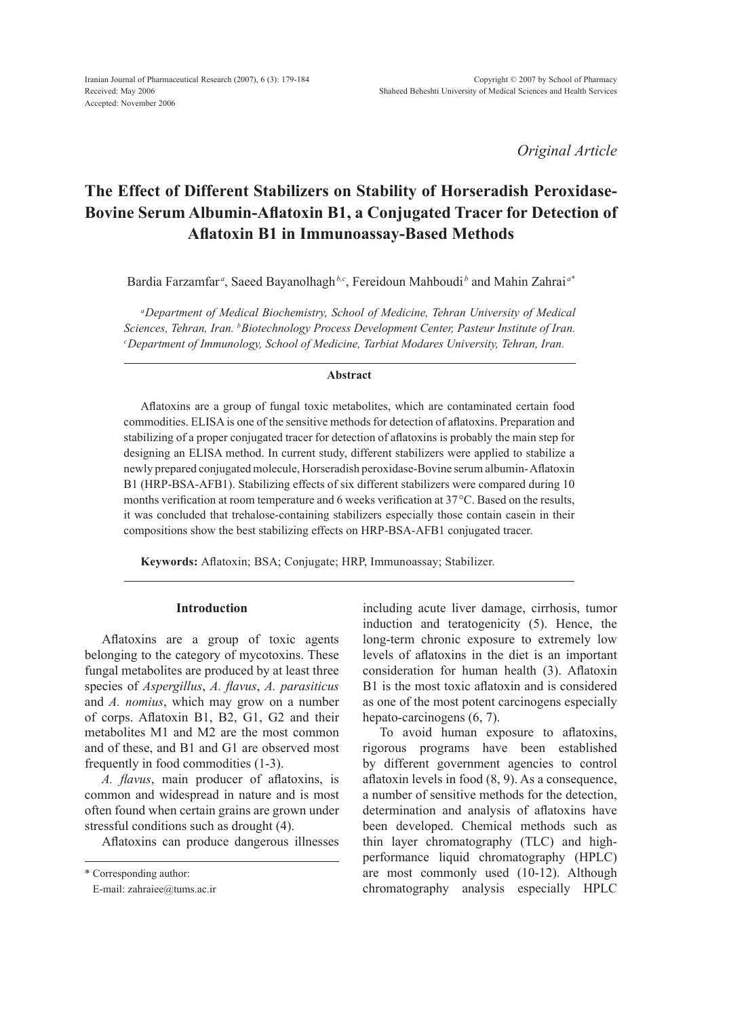*Original Article*

# **The Effect of Different Stabilizers on Stability of Horseradish Peroxidase-Bovine Serum Albumin-Aflatoxin B1, a Conjugated Tracer for Detection of Aflatoxin B1 in Immunoassay-Based Methods**

Bardia Farzamfar<sup>a</sup>, Saeed Bayanolhagh<sup>b,c</sup>, Fereidoun Mahboudib and Mahin Zahrai<sup>a\*</sup>

*aDepartment of Medical Biochemistry, School of Medicine, Tehran University of Medical Sciences, Tehran, Iran. bBiotechnology Process Development Center, Pasteur Institute of Iran. c Department of Immunology, School of Medicine, Tarbiat Modares University, Tehran, Iran.*

#### **Abstract**

Aflatoxins are a group of fungal toxic metabolites, which are contaminated certain food commodities. ELISA is one of the sensitive methods for detection of aflatoxins. Preparation and stabilizing of a proper conjugated tracer for detection of aflatoxins is probably the main step for designing an ELISA method. In current study, different stabilizers were applied to stabilize a newly prepared conjugated molecule, Horseradish peroxidase-Bovine serum albumin- Aflatoxin B1 (HRP-BSA-AFB1). Stabilizing effects of six different stabilizers were compared during 10 months verification at room temperature and 6 weeks verification at 37 °C. Based on the results, it was concluded that trehalose-containing stabilizers especially those contain casein in their compositions show the best stabilizing effects on HRP-BSA-AFB1 conjugated tracer.

**Keywords:** Aflatoxin; BSA; Conjugate; HRP, Immunoassay; Stabilizer.

# **Introduction**

Aflatoxins are a group of toxic agents belonging to the category of mycotoxins. These fungal metabolites are produced by at least three species of *Aspergillus*, *A. flavus*, *A. parasiticus* and *A. nomius*, which may grow on a number of corps. Aflatoxin B1, B2, G1, G2 and their metabolites M1 and M2 are the most common and of these, and B1 and G1 are observed most frequently in food commodities (1-3).

*A. flavus*, main producer of aflatoxins, is common and widespread in nature and is most often found when certain grains are grown under stressful conditions such as drought (4).

Aflatoxins can produce dangerous illnesses

including acute liver damage, cirrhosis, tumor induction and teratogenicity (5). Hence, the long-term chronic exposure to extremely low levels of aflatoxins in the diet is an important consideration for human health (3). Aflatoxin B1 is the most toxic aflatoxin and is considered as one of the most potent carcinogens especially hepato-carcinogens (6, 7).

To avoid human exposure to aflatoxins, rigorous programs have been established by different government agencies to control aflatoxin levels in food (8, 9). As a consequence, a number of sensitive methods for the detection, determination and analysis of aflatoxins have been developed. Chemical methods such as thin layer chromatography (TLC) and highperformance liquid chromatography (HPLC) are most commonly used (10-12). Although chromatography analysis especially HPLC

<sup>\*</sup> Corresponding author:

E-mail: zahraiee@tums.ac.ir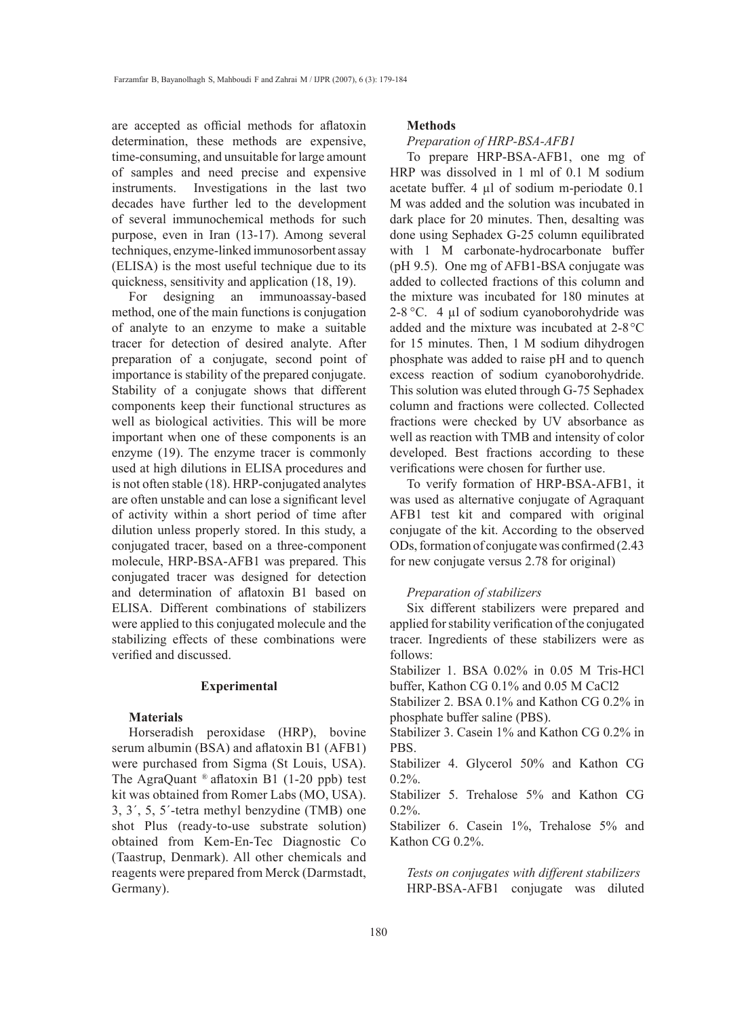are accepted as official methods for aflatoxin determination, these methods are expensive, time-consuming, and unsuitable for large amount of samples and need precise and expensive instruments. Investigations in the last two decades have further led to the development of several immunochemical methods for such purpose, even in Iran (13-17). Among several techniques, enzyme-linked immunosorbent assay (ELISA) is the most useful technique due to its quickness, sensitivity and application (18, 19).

For designing an immunoassay-based method, one of the main functions is conjugation of analyte to an enzyme to make a suitable tracer for detection of desired analyte. After preparation of a conjugate, second point of importance is stability of the prepared conjugate. Stability of a conjugate shows that different components keep their functional structures as well as biological activities. This will be more important when one of these components is an enzyme (19). The enzyme tracer is commonly used at high dilutions in ELISA procedures and is not often stable (18). HRP-conjugated analytes are often unstable and can lose a significant level of activity within a short period of time after dilution unless properly stored. In this study, a conjugated tracer, based on a three-component molecule, HRP-BSA-AFB1 was prepared. This conjugated tracer was designed for detection and determination of aflatoxin B1 based on ELISA. Different combinations of stabilizers were applied to this conjugated molecule and the stabilizing effects of these combinations were verified and discussed.

## **Experimental**

# **Materials**

Horseradish peroxidase (HRP), bovine serum albumin (BSA) and aflatoxin B1 (AFB1) were purchased from Sigma (St Louis, USA). The AgraQuant  $^{\circ}$  aflatoxin B1 (1-20 ppb) test kit was obtained from Romer Labs (MO, USA). 3, 3´, 5, 5´-tetra methyl benzydine (TMB) one shot Plus (ready-to-use substrate solution) obtained from Kem-En-Tec Diagnostic Co (Taastrup, Denmark). All other chemicals and reagents were prepared from Merck (Darmstadt, Germany).

### **Methods**

#### *Preparation of HRP-BSA-AFB1*

To prepare HRP-BSA-AFB1, one mg of HRP was dissolved in 1 ml of 0.1 M sodium acetate buffer. 4 µl of sodium m-periodate 0.1 M was added and the solution was incubated in dark place for 20 minutes. Then, desalting was done using Sephadex G-25 column equilibrated with 1 M carbonate-hydrocarbonate buffer (pH 9.5). One mg of AFB1-BSA conjugate was added to collected fractions of this column and the mixture was incubated for 180 minutes at 2-8 °C. 4 µl of sodium cyanoborohydride was added and the mixture was incubated at 2-8°C for 15 minutes. Then, 1 M sodium dihydrogen phosphate was added to raise pH and to quench excess reaction of sodium cyanoborohydride. This solution was eluted through G-75 Sephadex column and fractions were collected. Collected fractions were checked by UV absorbance as well as reaction with TMB and intensity of color developed. Best fractions according to these verifications were chosen for further use.

To verify formation of HRP-BSA-AFB1, it was used as alternative conjugate of Agraquant AFB1 test kit and compared with original conjugate of the kit. According to the observed ODs, formation of conjugate was confirmed (2.43 for new conjugate versus 2.78 for original)

# *Preparation of stabilizers*

Six different stabilizers were prepared and applied for stability verification of the conjugated tracer. Ingredients of these stabilizers were as follows:

Stabilizer 1. BSA 0.02% in 0.05 M Tris-HCl buffer, Kathon CG 0.1% and 0.05 M CaCl2

Stabilizer 2. BSA 0.1% and Kathon CG 0.2% in phosphate buffer saline (PBS).

Stabilizer 3. Casein 1% and Kathon CG 0.2% in PBS.

Stabilizer 4. Glycerol 50% and Kathon CG 0.2%.

Stabilizer 5. Trehalose 5% and Kathon CG  $0.2\%$ .

Stabilizer 6. Casein 1%, Trehalose 5% and Kathon CG 0.2%.

*Tests on conjugates with different stabilizers* HRP-BSA-AFB1 conjugate was diluted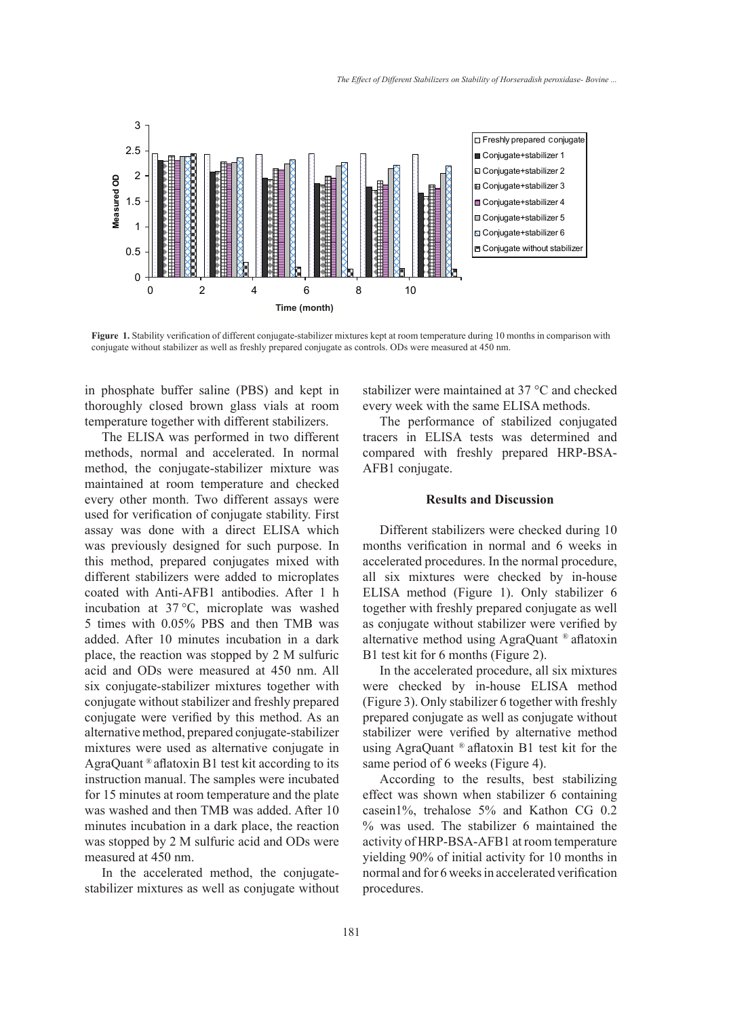

**Figure 1.** Stability verification of different conjugate-stabilizer mixtures kept at room temperature during 10 months in comparison with conjugate without stabilizer as well as freshly prepared conjugate as controls. ODs were measured at 450 nm.

in phosphate buffer saline (PBS) and kept in thoroughly closed brown glass vials at room temperature together with different stabilizers.

The ELISA was performed in two different methods, normal and accelerated. In normal method, the conjugate-stabilizer mixture was maintained at room temperature and checked every other month. Two different assays were used for verification of conjugate stability. First assay was done with a direct ELISA which was previously designed for such purpose. In this method, prepared conjugates mixed with different stabilizers were added to microplates coated with Anti-AFB1 antibodies. After 1 h incubation at 37 °C, microplate was washed 5 times with 0.05% PBS and then TMB was added. After 10 minutes incubation in a dark place, the reaction was stopped by 2 M sulfuric acid and ODs were measured at 450 nm. All six conjugate-stabilizer mixtures together with conjugate without stabilizer and freshly prepared conjugate were verified by this method. As an alternative method, prepared conjugate-stabilizer mixtures were used as alternative conjugate in AgraQuant ® aflatoxin B1 test kit according to its instruction manual. The samples were incubated for 15 minutes at room temperature and the plate was washed and then TMB was added. After 10 minutes incubation in a dark place, the reaction was stopped by 2 M sulfuric acid and ODs were measured at 450 nm.

In the accelerated method, the conjugatestabilizer mixtures as well as conjugate without stabilizer were maintained at 37 °C and checked every week with the same ELISA methods.

The performance of stabilized conjugated tracers in ELISA tests was determined and compared with freshly prepared HRP-BSA-AFB1 conjugate.

# **Results and Discussion**

Different stabilizers were checked during 10 months verification in normal and 6 weeks in accelerated procedures. In the normal procedure, all six mixtures were checked by in-house ELISA method (Figure 1). Only stabilizer 6 together with freshly prepared conjugate as well as conjugate without stabilizer were verified by alternative method using AgraQuant ® aflatoxin B1 test kit for 6 months (Figure 2).

In the accelerated procedure, all six mixtures were checked by in-house ELISA method (Figure 3). Only stabilizer 6 together with freshly prepared conjugate as well as conjugate without stabilizer were verified by alternative method using AgraQuant ® aflatoxin B1 test kit for the same period of 6 weeks (Figure 4).

According to the results, best stabilizing effect was shown when stabilizer 6 containing casein1%, trehalose 5% and Kathon CG 0.2 % was used. The stabilizer 6 maintained the activity of HRP-BSA-AFB1 at room temperature yielding 90% of initial activity for 10 months in normal and for 6 weeks in accelerated verification procedures.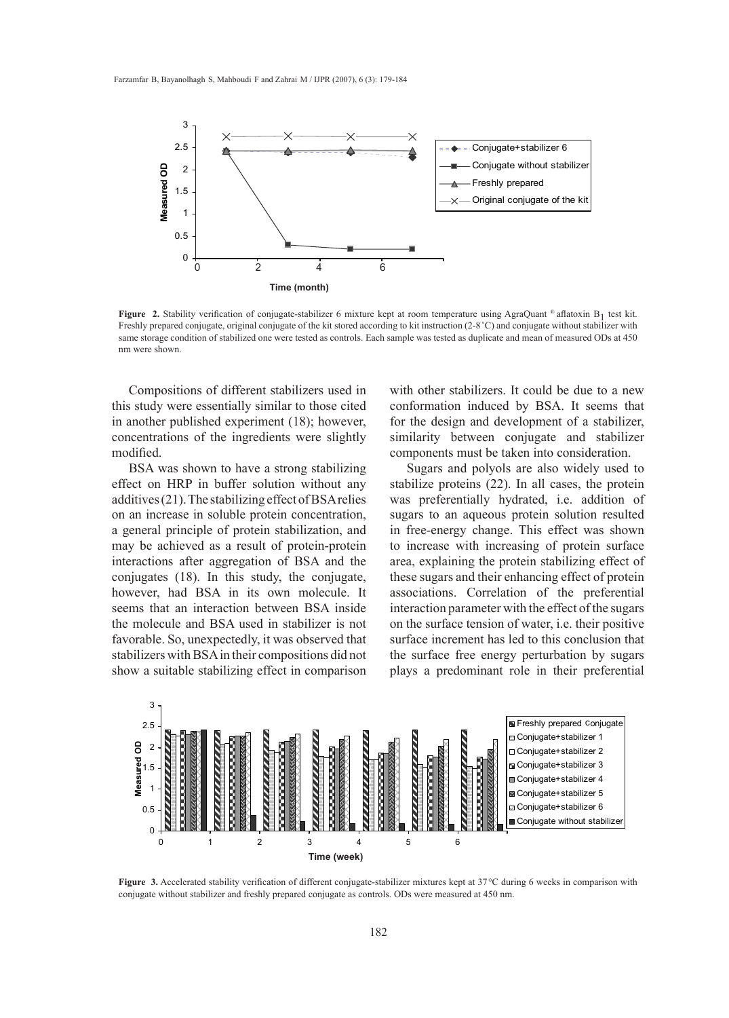

**Figure 2.** Stability verification of conjugate-stabilizer 6 mixture kept at room temperature using AgraQuant ® aflatoxin B<sub>1</sub> test kit. Freshly prepared conjugate, original conjugate of the kit stored according to kit instruction (2-8<sup>°</sup>C) and conjugate without stabilizer with same storage condition of stabilized one were tested as controls. Each sample was tested as duplicate and mean of measured ODs at 450 nm were shown.

Compositions of different stabilizers used in this study were essentially similar to those cited in another published experiment (18); however, concentrations of the ingredients were slightly modified.

BSA was shown to have a strong stabilizing effect on HRP in buffer solution without any additives (21). The stabilizing effect of BSA relies on an increase in soluble protein concentration, a general principle of protein stabilization, and may be achieved as a result of protein-protein interactions after aggregation of BSA and the conjugates (18). In this study, the conjugate, however, had BSA in its own molecule. It seems that an interaction between BSA inside the molecule and BSA used in stabilizer is not favorable. So, unexpectedly, it was observed that stabilizers with BSA in their compositions did not show a suitable stabilizing effect in comparison with other stabilizers. It could be due to a new conformation induced by BSA. It seems that for the design and development of a stabilizer, similarity between conjugate and stabilizer components must be taken into consideration.

Sugars and polyols are also widely used to stabilize proteins (22). In all cases, the protein was preferentially hydrated, i.e. addition of sugars to an aqueous protein solution resulted in free-energy change. This effect was shown to increase with increasing of protein surface area, explaining the protein stabilizing effect of these sugars and their enhancing effect of protein associations. Correlation of the preferential interaction parameter with the effect of the sugars on the surface tension of water, i.e. their positive surface increment has led to this conclusion that the surface free energy perturbation by sugars plays a predominant role in their preferential



**Figure 3.** Accelerated stability verification of different conjugate-stabilizer mixtures kept at 37°C during 6 weeks in comparison with conjugate without stabilizer and freshly prepared conjugate as controls. ODs were measured at 450 nm.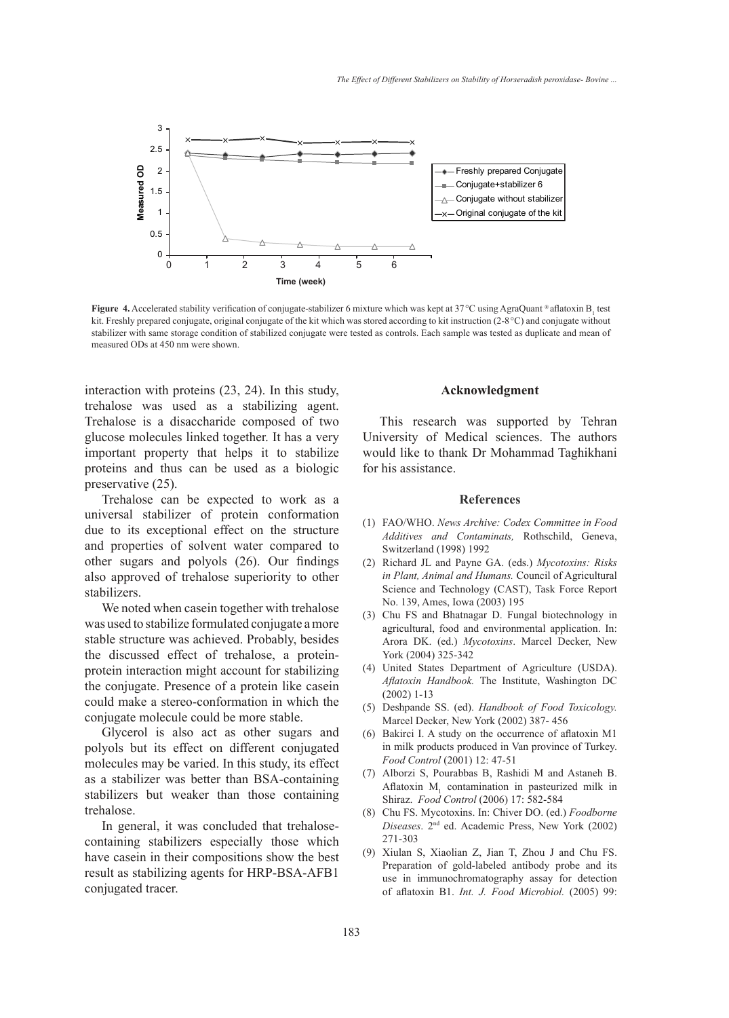

**Figure 4.** Accelerated stability verification of conjugate-stabilizer 6 mixture which was kept at 37 °C using AgraQuant ® aflatoxin B<sub>1</sub> test kit. Freshly prepared conjugate, original conjugate of the kit which was stored according to kit instruction (2-8°C) and conjugate without stabilizer with same storage condition of stabilized conjugate were tested as controls. Each sample was tested as duplicate and mean of measured ODs at 450 nm were shown.

interaction with proteins (23, 24). In this study, trehalose was used as a stabilizing agent. Trehalose is a disaccharide composed of two glucose molecules linked together. It has a very important property that helps it to stabilize proteins and thus can be used as a biologic preservative (25).

Trehalose can be expected to work as a universal stabilizer of protein conformation due to its exceptional effect on the structure and properties of solvent water compared to other sugars and polyols (26). Our findings also approved of trehalose superiority to other stabilizers.

We noted when casein together with trehalose was used to stabilize formulated conjugate a more stable structure was achieved. Probably, besides the discussed effect of trehalose, a proteinprotein interaction might account for stabilizing the conjugate. Presence of a protein like casein could make a stereo-conformation in which the conjugate molecule could be more stable.

Glycerol is also act as other sugars and polyols but its effect on different conjugated molecules may be varied. In this study, its effect as a stabilizer was better than BSA-containing stabilizers but weaker than those containing trehalose.

In general, it was concluded that trehalosecontaining stabilizers especially those which have casein in their compositions show the best result as stabilizing agents for HRP-BSA-AFB1 conjugated tracer.

## **Acknowledgment**

This research was supported by Tehran University of Medical sciences. The authors would like to thank Dr Mohammad Taghikhani for his assistance.

## **References**

- FAO/WHO. *News Archive: Codex Committee in Food*  (1) *Additives and Contaminats,* Rothschild, Geneva, Switzerland (1998) 1992
- Richard JL and Payne GA. (eds.) *Mycotoxins: Risks*  (2) *in Plant, Animal and Humans.* Council of Agricultural Science and Technology (CAST), Task Force Report No. 139, Ames, Iowa (2003) 195
- (3) Chu FS and Bhatnagar D. Fungal biotechnology in agricultural, food and environmental application. In: Arora DK. (ed.) *Mycotoxins*. Marcel Decker, New York (2004) 325-342
- United States Department of Agriculture (USDA). (4) *Aflatoxin Handbook.* The Institute, Washington DC (2002) 1-13
- Deshpande SS. (ed). *Handbook of Food Toxicology.* (5) Marcel Decker, New York (2002) 387- 456
- Bakirci I. A study on the occurrence of aflatoxin M1 in milk products produced in Van province of Turkey. *Food Control* (2001) 12: 47-51 (6)
- Alborzi S, Pourabbas B, Rashidi M and Astaneh B. (7) Aflatoxin  $M<sub>1</sub>$  contamination in pasteurized milk in Shiraz. *Food Control* (2006) 17: 582-584
- Chu FS. Mycotoxins. In: Chiver DO. (ed.) *Foodborne*  (8) *Diseases*. 2nd ed. Academic Press, New York (2002) 271-303
- Xiulan S, Xiaolian Z, Jian T, Zhou J and Chu FS. (9) Preparation of gold-labeled antibody probe and its use in immunochromatography assay for detection of aflatoxin B1. *Int. J. Food Microbiol.* (2005) 99: